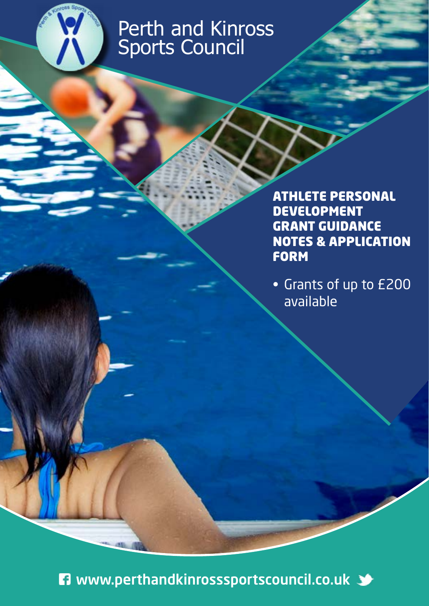

# Perth and Kinross Sports Council

ATHLETE PERSONAL DEVELOPMENT GRANT GUIDANCE NOTES & APPLICATION FORM

• Grants of up to £200 available

**n** www.perthandkinrosssportscouncil.co.uk  $\blacktriangleright$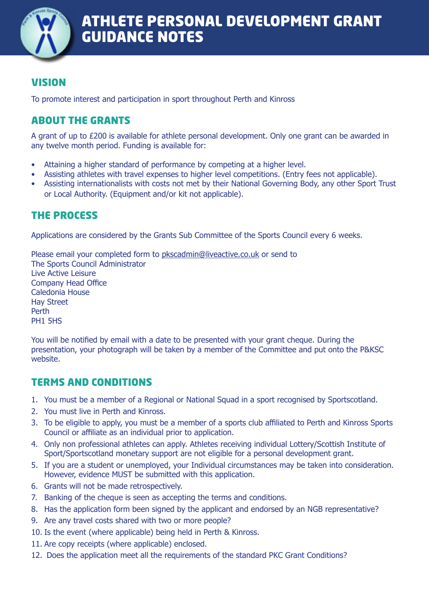

# VISION

To promote interest and participation in sport throughout Perth and Kinross

# ABOUT THE GRANTS

A grant of up to £200 is available for athlete personal development. Only one grant can be awarded in any twelve month period. Funding is available for:

- Attaining a higher standard of performance by competing at a higher level.
- Assisting athletes with travel expenses to higher level competitions. (Entry fees not applicable).
- Assisting internationalists with costs not met by their National Governing Body, any other Sport Trust or Local Authority. (Equipment and/or kit not applicable).

# THE PROCESS

Applications are considered by the Grants Sub Committee of the Sports Council every 6 weeks.

Please email your completed form to [pkscadmin@liveactive.co.uk](mailto:pkscadmin%40liveactive.co.uk?subject=Club%20Grant%20Application%20Form) or send to The Sports Council Administrator Live Active Leisure Company Head Office Caledonia House Hay Street Perth PH1 5HS

You will be notified by email with a date to be presented with your grant cheque. During the presentation, your photograph will be taken by a member of the Committee and put onto the P&KSC website.

# TERMS AND CONDITIONS

- 1. You must be a member of a Regional or National Squad in a sport recognised by Sportscotland.
- 2. You must live in Perth and Kinross.
- 3. To be eligible to apply, you must be a member of a sports club affiliated to Perth and Kinross Sports Council or affiliate as an individual prior to application.
- 4. Only non professional athletes can apply. Athletes receiving individual Lottery/Scottish Institute of Sport/Sportscotland monetary support are not eligible for a personal development grant.
- 5. If you are a student or unemployed, your Individual circumstances may be taken into consideration. However, evidence MUST be submitted with this application.
- 6. Grants will not be made retrospectively.
- 7. Banking of the cheque is seen as accepting the terms and conditions.
- 8. Has the application form been signed by the applicant and endorsed by an NGB representative?
- 9. Are any travel costs shared with two or more people?
- 10. Is the event (where applicable) being held in Perth & Kinross.
- 11. Are copy receipts (where applicable) enclosed.
- 12. Does the application meet all the requirements of the standard PKC Grant Conditions?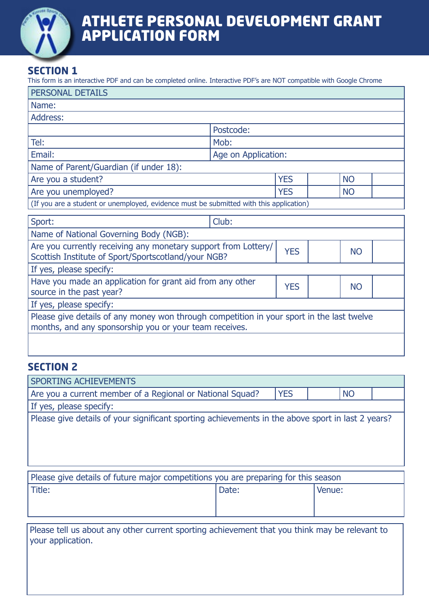

# ATHLETE PERSONAL DEVELOPMENT GRANT APPLICATION FORM

# **SECTION 1**

This form is an interactive PDF and can be completed online. Interactive PDF's are NOT compatible with Google Chrome

| <b>PERSONAL DETAILS</b>                                                                                                                             |                     |            |           |  |
|-----------------------------------------------------------------------------------------------------------------------------------------------------|---------------------|------------|-----------|--|
| Name:                                                                                                                                               |                     |            |           |  |
| Address:                                                                                                                                            |                     |            |           |  |
|                                                                                                                                                     | Postcode:           |            |           |  |
| Tel:                                                                                                                                                | Mob:                |            |           |  |
| Email:                                                                                                                                              | Age on Application: |            |           |  |
| Name of Parent/Guardian (if under 18):                                                                                                              |                     |            |           |  |
| Are you a student?                                                                                                                                  |                     | <b>YES</b> | <b>NO</b> |  |
| Are you unemployed?                                                                                                                                 |                     | <b>YES</b> | <b>NO</b> |  |
| (If you are a student or unemployed, evidence must be submitted with this application)                                                              |                     |            |           |  |
| Sport:                                                                                                                                              | Club:               |            |           |  |
| Name of National Governing Body (NGB):                                                                                                              |                     |            |           |  |
| Are you currently receiving any monetary support from Lottery/<br>Scottish Institute of Sport/Sportscotland/your NGB?                               |                     | <b>YES</b> | <b>NO</b> |  |
| If yes, please specify:                                                                                                                             |                     |            |           |  |
| Have you made an application for grant aid from any other<br>source in the past year?                                                               |                     | <b>YES</b> | <b>NO</b> |  |
| If yes, please specify:                                                                                                                             |                     |            |           |  |
| Please give details of any money won through competition in your sport in the last twelve<br>months, and any sponsorship you or your team receives. |                     |            |           |  |
|                                                                                                                                                     |                     |            |           |  |

### **SECTION 2**

| <b>SPORTING ACHIEVEMENTS</b>                                                                      |       |            |        |           |  |
|---------------------------------------------------------------------------------------------------|-------|------------|--------|-----------|--|
| Are you a current member of a Regional or National Squad?                                         |       | <b>YES</b> |        | <b>NO</b> |  |
| If yes, please specify:                                                                           |       |            |        |           |  |
| Please give details of your significant sporting achievements in the above sport in last 2 years? |       |            |        |           |  |
| Please give details of future major competitions you are preparing for this season                |       |            |        |           |  |
| Title:                                                                                            | Date: |            | Venue: |           |  |
|                                                                                                   |       |            |        |           |  |

Please tell us about any other current sporting achievement that you think may be relevant to your application.